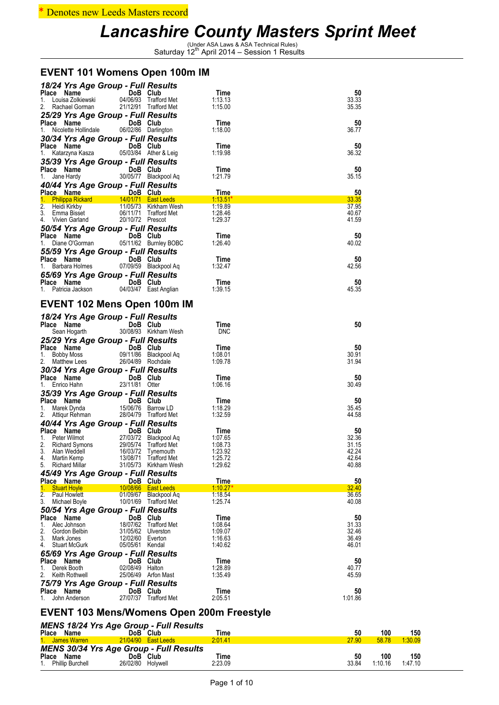### \* Denotes new Leeds Masters record

# Lancashire County Masters Sprint Meet<br>
Saturday 12<sup>th</sup> April 2014 – Session 1 Results

### **EVENT 101 Womens Open 100m IM**

| 18/24 Yrs Age Group - Full Results                                                                                      |                                                |                    |                |
|-------------------------------------------------------------------------------------------------------------------------|------------------------------------------------|--------------------|----------------|
| $\frac{1}{2}$<br>Place Name                                                                                             | DoB Club                                       | Time               | 50             |
| 1. Louisa Zolkiewski                                                                                                    | 04/06/93 Trafford Met                          | 1:13.13            | 33.33          |
| 2. Rachael Gorman                                                                                                       | 21/12/91 Trafford Met                          | 1:15.00            | 35.35          |
| 25/29 Yrs Age Group - Full Results                                                                                      |                                                |                    |                |
| Place Name<br><b>Example 19 DoB</b> Club<br>1. Nicolette Hollindale                                                     | 06/02/86 Darlington                            | Time<br>1:18.00    | 50<br>36.77    |
|                                                                                                                         |                                                |                    |                |
| 30/34 Yrs Age Group - Full Results                                                                                      |                                                |                    |                |
| Place Name<br><b>Example 19 DoB</b> Club<br>1. Katarzyna Kasza                                                          | 05/03/84 Ather & Leig                          | Time<br>1:19.98    | 50<br>36.32    |
|                                                                                                                         |                                                |                    |                |
| 35/39 Yrs Age Group - Full Results                                                                                      | DoB Club                                       | Time               | 50             |
| <b>Place Name</b><br>1. Jane Hardy 30/                                                                                  | 30/05/77 Blackpool Aq                          | 1:21.79            | 35.15          |
|                                                                                                                         |                                                |                    |                |
| 40/44 Yrs Age Group - Full Results                                                                                      |                                                |                    | 50             |
| Place Name (1995) DoB Club<br>1. Philippa Rickard (14/01/71 East Leeds (1995) 1:13.51                                   |                                                |                    | 33.35          |
| 2. Heidi Kirkby                                                                                                         | 11/05/73 Kirkham Wesh                          | 1:19.89            | 37.95          |
| 3. Emma Bisset                                                                                                          | 06/11/71 Trafford Met                          | 1:28.46            | 40.67          |
| 4. Vivien Garland                                                                                                       | 20/10/72 Prescot                               | 1:29.37            | 41.59          |
| 50/54 Yrs Age Group - Full Results                                                                                      |                                                |                    |                |
| Place Name<br><b>Example 19 DoB</b> Club                                                                                |                                                | Time               | 50             |
| Diane O'Gorman<br>1.                                                                                                    | 05/11/62 Burnley BOBC                          | 1:26.40            | 40.02          |
| 55/59 Yrs Age Group - Full Results                                                                                      |                                                |                    |                |
| Place Name<br>DoB Club                                                                                                  |                                                | Time               | 50             |
| 1. Barbara Holmes 07/09/59 Blackpool Aq                                                                                 |                                                | 1:32.47            | 42.56          |
| 65/69 Yrs Age Group - Full Results                                                                                      |                                                |                    |                |
| <b>Place Name Carry DoB Club</b><br>1. Patricia Jackson 04/03/47 East Anglian                                           |                                                | Time               | 50             |
|                                                                                                                         |                                                | 1:39.15            | 45.35          |
|                                                                                                                         |                                                |                    |                |
| <b>EVENT 102 Mens Open 100m IM</b>                                                                                      |                                                |                    |                |
| 18/24 Yrs Age Group - Full Results                                                                                      |                                                |                    |                |
| Place Name<br>$\begin{array}{ccc}\n\text{L} \text{E} & \text{Name} \\ \text{Sean Hogarth} & \frac{30}{11}\n\end{array}$ | DoB Club                                       | Time               | 50             |
|                                                                                                                         | 30/08/93 Kirkham Wesh                          | <b>DNC</b>         |                |
| 25/29 Yrs Age Group - Full Results                                                                                      |                                                |                    |                |
|                                                                                                                         |                                                |                    |                |
|                                                                                                                         |                                                | Time               | 50             |
| Place Name DoB Club<br>Bobby Moss<br>1.                                                                                 |                                                | 1:08.01            | 30.91          |
| 2. Matthew Lees                                                                                                         | 09/11/86 Blackpool Aq<br>26/04/89 Rochdale     | 1:09.78            | 31.94          |
|                                                                                                                         |                                                |                    |                |
| 30/34 Yrs Age Group - Full Results<br>Place Name DoB Club                                                               |                                                | Time               | 50             |
| 1. Enrico Hahn                                                                                                          | 23/11/81 Otter                                 | 1:06.16            | 30.49          |
|                                                                                                                         |                                                |                    |                |
| 35/39 Yrs Age Group - Full Results                                                                                      |                                                | Time               | 50             |
| Place Name DoB Club<br>1. Marek Dynda 15/06/76 Barrov                                                                   | 15/06/76 Barrow LD                             | 1:18.29            | 35.45          |
| 2. Attiqur Rehman                                                                                                       | 28/04/79 Trafford Met                          | 1:32.59            | 44.58          |
| 40/44 Yrs Age Group - Full Results                                                                                      |                                                |                    |                |
|                                                                                                                         | DoB Club                                       | Time               | 50             |
| Place Name<br>1. Peter Wilmot 27/<br>Peter Wilmot                                                                       | 27/03/72 Blackpool Aq                          | 1:07.65            | 32.36          |
| 2.<br>Richard Symons                                                                                                    | 21/05/12 Blackpool Aq                          | 1:08.73            | 31.15          |
| 3. Alan Weddell                                                                                                         | 16/03/72 Tynemouth                             | 1:23.92            | 42.24          |
| 4. Martin Kemp<br>5. Richard Millar                                                                                     | 13/08/71 Trafford Met<br>31/05/73 Kirkham Wesh | 1:25.72<br>1:29.62 | 42.64<br>40.88 |
|                                                                                                                         |                                                |                    |                |
| 45/49 Yrs Age Group - Full Results<br>Place Name                                                                        | DoB Club                                       | Time               | 50             |
| <b>Stuart Hoyle</b><br>$1_{-}$                                                                                          | 10/08/66 East Leeds                            | <u>1:10.27*</u>    | 32.40          |
| 2.<br>Paul Howlett                                                                                                      | 01/09/67 Blackpool Aq                          | 1:18.54            | 36.65          |
| 3.<br>Michael Boyle                                                                                                     | 10/01/69 Trafford Met                          | 1:25.74            | 40.08          |
| 50/54 Yrs Age Group - Full Results                                                                                      |                                                |                    |                |
| Place Name                                                                                                              | DoB Club                                       | Time               | 50             |
| Alec Johnson<br>18/07/62<br>1.                                                                                          | Trafford Met                                   | 1:08.64            | 31.33          |
| 2.<br>Gordon Belbin<br>31/05/62                                                                                         | Ulverston                                      | 1:09.07            | 32.46          |
| 3. Mark Jones                                                                                                           | 12/02/60 Everton                               | 1:16.63            | 36.49          |
| 4. Stuart McGurk                                                                                                        | 05/05/61 Kendal                                | 1:40.62            | 46.01          |
| 65/69 Yrs Age Group - Full Results                                                                                      |                                                |                    |                |
| Place Name                                                                                                              | DoB Club                                       | Time               | 50             |
| Derek Booth<br>1.<br>2.<br>Keith Rothwell                                                                               | 02/08/49 Halton<br>25/06/49 Arfon Mast         | 1:28.89<br>1:35.49 | 40.77<br>45.59 |
|                                                                                                                         |                                                |                    |                |
| 75/79 Yrs Age Group - Full Results<br>Place Name                                                                        | DoB Club                                       |                    | 50             |
| John Anderson<br>1.                                                                                                     | 27/07/37 Trafford Met                          | Time<br>2:05.51    | 1:01.86        |

## **EVENT 103 Mens/Womens Open 200m Freestyle**

*MENS 18/24 Yrs Age Group - Full Results*

| <b>Place</b> | Name                                           | <b>DoB</b> | Club                | Time    | 50    | 100   | 150     |  |
|--------------|------------------------------------------------|------------|---------------------|---------|-------|-------|---------|--|
|              | 1. James Warren                                |            | 21/04/90 East Leeds | 2:01.41 | 27.90 | 58.78 | 1:30.09 |  |
|              | <b>MENS 30/34 Yrs Age Group - Full Results</b> |            |                     |         |       |       |         |  |
|              |                                                |            |                     |         |       |       |         |  |
| Place        | Name                                           | DoB        | <b>Club</b>         | Time    | 50    | 100   | 150     |  |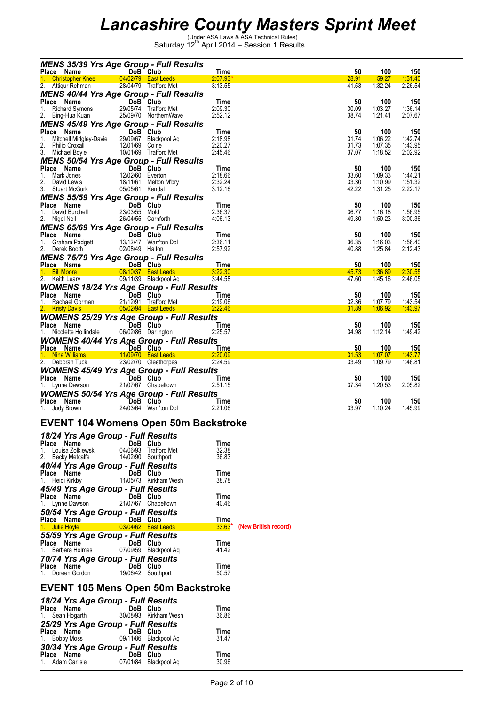| <b>MENS 35/39 Yrs Age Group - Full Results</b>                                                                                                                                                                           |                                                        |               |                      |                |                    |                    |
|--------------------------------------------------------------------------------------------------------------------------------------------------------------------------------------------------------------------------|--------------------------------------------------------|---------------|----------------------|----------------|--------------------|--------------------|
| DoB Club<br>Place Name<br>1. Christopher Knee   04/02/79   East Leeds   2:07.93*                                                                                                                                         | <b>Time</b>                                            |               |                      | 50<br>28.91    | 100<br>59.27       | 150<br>1:31.40     |
| 2. Attiqur Rehman 28/04/79 Trafford Met                                                                                                                                                                                  |                                                        | 3:13.55       |                      | 41.53          | 1:32.24            | 2:26.54            |
| <b>MENS 40/44 Yrs Age Group - Full Results</b>                                                                                                                                                                           |                                                        |               |                      |                |                    |                    |
|                                                                                                                                                                                                                          |                                                        | Time          |                      | 50             | 100                | 150                |
|                                                                                                                                                                                                                          |                                                        | 2:09.30       |                      | 30.09          | 1:03.27            | 1:36.14            |
| Place Name<br>1. Richard Symons<br>29/05/74 Trafford Met<br>2. Bing-Hua Kuan<br>25/09/70 Northern Wave                                                                                                                   |                                                        | 2:52.12       |                      | 38.74          | 1:21.41            | 2:07.67            |
| <b>MENS 45/49 Yrs Age Group - Full Results</b>                                                                                                                                                                           |                                                        |               |                      |                |                    |                    |
|                                                                                                                                                                                                                          |                                                        | Time          |                      | 50             | 100                | 150                |
| <b>Place Name</b><br>1. Mitchell Midgley-Davie 29/09/67 Blackpool Aq                                                                                                                                                     |                                                        | 2:18.98       |                      | 31.74          | 1:06.22            | 1:42.74            |
| 2. Philip Croxall 2. The Taylor Colne<br>3. Michael Boyle 10/01/69 Trafford Met                                                                                                                                          |                                                        | 2:20.27       |                      | 31.73          | 1:07.35            | 1:43.95            |
|                                                                                                                                                                                                                          |                                                        | 2:45.46       |                      | 37.07          | 1:18.52            | 2:02.92            |
| <b>MENS 50/54 Yrs Age Group - Full Results<br/> Place Name DoB Club Time<br/> 1. Mark Jones 12/02/60 Everton 2:18.66<br/> 2. David Lewis 18/11/61 Melton M'bry 2:32.24<br/> 3. Stuart McGurk 05/05/61 Kendal 3:12.16</b> |                                                        |               |                      |                |                    |                    |
|                                                                                                                                                                                                                          |                                                        |               |                      | 50             | 100                | 150                |
|                                                                                                                                                                                                                          |                                                        |               |                      | 33.60<br>33.30 | 1:09.33<br>1:10.99 | 1:44.21<br>1:51.32 |
|                                                                                                                                                                                                                          |                                                        |               |                      | 42.22          | 1:31.25            | 2:22.17            |
|                                                                                                                                                                                                                          |                                                        |               |                      |                |                    |                    |
| MENS 55/59 Yrs Age Group - Full Results                                                                                                                                                                                  |                                                        | Time          |                      | 50             | 100                | 150                |
|                                                                                                                                                                                                                          |                                                        | 2:36.37       |                      | 36.77          | 1:16.18            | 1:56.95            |
| Place Name<br>1. David Burchell<br>2. Nigel Neil<br>2. Nigel Neil<br>2. Carnfo<br>2. Nigel Neil                                                                                                                          | <b>DoB Club</b><br>23/03/55 Mold<br>26/04/55 Carnforth | 4:06.13       |                      | 49.30          | 1:50.23            | 3:00.36            |
| <b>MENS 65/69 Yrs Age Group - Full Results<br/> Place Name DoB Club<br/> 1. Graham Padgett 13/12/47 Warr'ton Dol<br/> 2. Derek Booth 02/08/49 Halton</b>                                                                 |                                                        |               |                      |                |                    |                    |
|                                                                                                                                                                                                                          |                                                        | Time          |                      | 50             | 100                | 150                |
|                                                                                                                                                                                                                          |                                                        | 2:36.11       |                      | 36.35          | 1:16.03            | 1:56.40            |
|                                                                                                                                                                                                                          |                                                        | 2:57.92       |                      | 40.88          | 1:25.84            | 2:12.43            |
| MENS 75/79 Yrs Age Group - Full Results                                                                                                                                                                                  |                                                        |               |                      |                |                    |                    |
| Place Name 1. 2.19 Do Club<br>1. Bill Moore 08/10/37 East Leeds 3:22.30<br>2. Keith Leary 09/11/39 Blackpool Aq 3:44.58                                                                                                  |                                                        |               |                      | 50             | 100                | 150                |
|                                                                                                                                                                                                                          |                                                        |               |                      | 45.73          | 1:36.89            | 2:30.55            |
|                                                                                                                                                                                                                          |                                                        |               |                      | 47.60          | 1:45.16            | 2:46.05            |
|                                                                                                                                                                                                                          |                                                        |               |                      |                |                    |                    |
|                                                                                                                                                                                                                          |                                                        |               |                      | 50             | 100                | 150                |
| <b>WOMENS 18/24 Yrs Age Group - Full Results<br/>Place Name DoB Club Time<br/>1. Rachael Gorman 21/12/91 Trafford Met 2:19.06<br/>2. Kristy Davis 05/02/94 East Leeds 2:22.46</b>                                        |                                                        |               |                      | 32.36          | 1:07.79            | 1.43.54            |
|                                                                                                                                                                                                                          |                                                        |               |                      | 31.89          | <u> 1:06.92</u>    | 1.43.97            |
| <b>WOMENS 25/29 Yrs Age Group - Full Results<br/>Place Name DoB Club Time<br/>1. Nicolette Hollindale 06/02/86 Darlington 2:25.57</b>                                                                                    |                                                        |               |                      |                |                    |                    |
|                                                                                                                                                                                                                          |                                                        |               |                      | 50<br>34.98    | 100<br>1:12.14     | 150<br>1:49.42     |
|                                                                                                                                                                                                                          |                                                        |               |                      |                |                    |                    |
| <b>WOMENS 40/44 Yrs Age Group - Full Results</b>                                                                                                                                                                         |                                                        |               |                      |                |                    |                    |
| Place Name    DoB Club    Time                                                                                                                                                                                           |                                                        |               |                      | 50<br>31.53    | 100<br>1:07.07     | 150<br>1.43.77     |
| 2. Deborah Tuck                                                                                                                                                                                                          | 23/02/70 Cleethorpes                                   | 2:24.59       |                      | 33.49          | 1:09.79            | 1:46.81            |
| <b>WOMENS 45/49 Yrs Age Group - Full Results</b>                                                                                                                                                                         |                                                        |               |                      |                |                    |                    |
|                                                                                                                                                                                                                          |                                                        |               |                      | 50             | 100                | 150                |
| Place Name <b>DoB Club</b> Time Time<br>1. Lynne Dawson 21/07/67 Chapeltown 2:51.15                                                                                                                                      |                                                        |               |                      | 37.34          | 1:20.53            | 2:05.82            |
| <b>WOMENS 50/54 Yrs Age Group - Full Results</b>                                                                                                                                                                         |                                                        |               |                      |                |                    |                    |
|                                                                                                                                                                                                                          |                                                        | Time          |                      | 50             | 100                | 150                |
| <b>Place Name</b><br>1. Judy Brown 24/03/64 Warr'ton Dol                                                                                                                                                                 |                                                        | 2:21.06       |                      | 33.97          | 1:10.24            | 1:45.99            |
|                                                                                                                                                                                                                          |                                                        |               |                      |                |                    |                    |
| <b>EVENT 104 Womens Open 50m Backstroke</b>                                                                                                                                                                              |                                                        |               |                      |                |                    |                    |
|                                                                                                                                                                                                                          |                                                        |               |                      |                |                    |                    |
| 18/24 Yrs Age Group - Full Results<br>Place Name                                                                                                                                                                         |                                                        |               |                      |                |                    |                    |
| Louisa Zolkiewski<br>1.                                                                                                                                                                                                  | DoB Club<br>04/06/93 Trafford Met                      | Time<br>32.38 |                      |                |                    |                    |
| 2.<br>Becky Metcalfe                                                                                                                                                                                                     | 14/02/90 Southport                                     | 36.83         |                      |                |                    |                    |
| 40/44 Yrs Age Group - Full Results                                                                                                                                                                                       |                                                        |               |                      |                |                    |                    |
| Place Name                                                                                                                                                                                                               | DoB Club                                               | Time          |                      |                |                    |                    |
| 1. Heidi Kirkby                                                                                                                                                                                                          | 11/05/73 Kirkham Wesh                                  | 38.78         |                      |                |                    |                    |
| 45/49 Yrs Age Group - Full Results                                                                                                                                                                                       |                                                        |               |                      |                |                    |                    |
| Place Name                                                                                                                                                                                                               | DoB Club                                               | Time          |                      |                |                    |                    |
| 1. Lynne Dawson                                                                                                                                                                                                          | 21/07/67 Chapeltown                                    | 40.46         |                      |                |                    |                    |
| 50/54 Yrs Age Group - Full Results                                                                                                                                                                                       |                                                        |               |                      |                |                    |                    |
| Place Name                                                                                                                                                                                                               | DoB Club                                               | Time          |                      |                |                    |                    |
| 1. Julie Hoyle                                                                                                                                                                                                           | 03/04/62 East Leeds                                    | $33.63*$      | (New British record) |                |                    |                    |
| 55/59 Yrs Age Group - Full Results                                                                                                                                                                                       |                                                        |               |                      |                |                    |                    |
| Place Name                                                                                                                                                                                                               | DoB Club                                               | Time          |                      |                |                    |                    |
| 1. Barbara Holmes                                                                                                                                                                                                        | 07/09/59 Blackpool Aq                                  | 41.42         |                      |                |                    |                    |
| 70/74 Yrs Age Group - Full Results                                                                                                                                                                                       |                                                        |               |                      |                |                    |                    |
| Place Name                                                                                                                                                                                                               | DoB Club                                               | Time          |                      |                |                    |                    |
| 1. Doreen Gordon                                                                                                                                                                                                         | 19/06/42 Southport                                     | 50.57         |                      |                |                    |                    |
|                                                                                                                                                                                                                          |                                                        |               |                      |                |                    |                    |
| <b>EVENT 105 Mens Open 50m Backstroke</b>                                                                                                                                                                                |                                                        |               |                      |                |                    |                    |
| 18/24 Yrs Age Group - Full Results                                                                                                                                                                                       |                                                        |               |                      |                |                    |                    |
| Place Name                                                                                                                                                                                                               | DoB Club                                               | Time          |                      |                |                    |                    |
| Sean Hogarth<br>1.                                                                                                                                                                                                       | 30/08/93 Kirkham Wesh                                  | 36.86         |                      |                |                    |                    |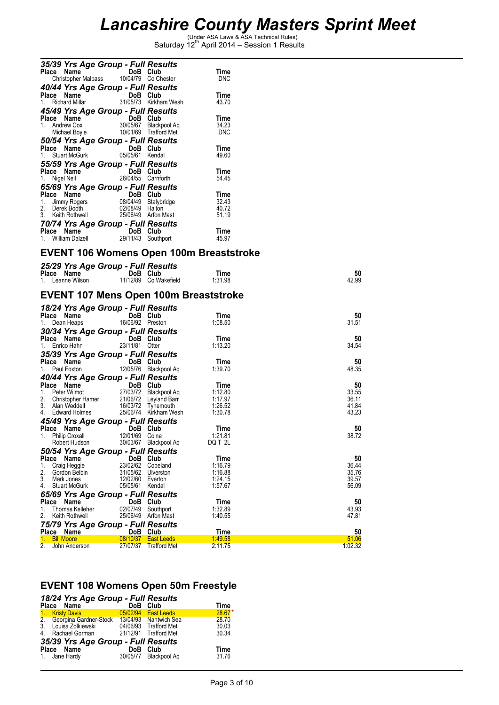| 35/39 Yrs Age Group - Full Results                                                                                                                                                                                                                                                                                |                                                                                  |                               |                |
|-------------------------------------------------------------------------------------------------------------------------------------------------------------------------------------------------------------------------------------------------------------------------------------------------------------------|----------------------------------------------------------------------------------|-------------------------------|----------------|
| Place Name                                                                                                                                                                                                                                                                                                        | DoB Club                                                                         | Time                          |                |
| Christopher Malpass                                                                                                                                                                                                                                                                                               | 10/04/79 Co Chester                                                              | <b>DNC</b>                    |                |
|                                                                                                                                                                                                                                                                                                                   | 40/44 Yrs Age Group - Full Results                                               |                               |                |
| 1. Richard Millar                                                                                                                                                                                                                                                                                                 | 31/05/73 Kirkham Wesh                                                            | Time<br>43.70                 |                |
|                                                                                                                                                                                                                                                                                                                   | 45/49 Yrs Age Group - Full Results                                               |                               |                |
| Place Name                                                                                                                                                                                                                                                                                                        | DoB Club                                                                         | Time                          |                |
| $1.$ Andrew Cox                                                                                                                                                                                                                                                                                                   | 30/05/67 Blackpool Ag                                                            | 34.23                         |                |
| Michael Boyle                                                                                                                                                                                                                                                                                                     | 10/01/69 Trafford Met                                                            | <b>DNC</b>                    |                |
|                                                                                                                                                                                                                                                                                                                   | 50/54 Yrs Age Group - Full Results                                               |                               |                |
| Place Name                                                                                                                                                                                                                                                                                                        | DoB Club                                                                         | Time                          |                |
| 1. Stuart McGurk                                                                                                                                                                                                                                                                                                  | 05/05/61 Kendal                                                                  | 49.60                         |                |
|                                                                                                                                                                                                                                                                                                                   | 55/59 Yrs Age Group - Full Results                                               |                               |                |
| <b>Place Name DoB Club</b><br>1. Nigel Neil <b>26/04/55 Carnfo</b><br>1. Nigel Neil                                                                                                                                                                                                                               | 26/04/55 Carnforth                                                               | Time<br>54.45                 |                |
|                                                                                                                                                                                                                                                                                                                   |                                                                                  |                               |                |
| Place Name                                                                                                                                                                                                                                                                                                        | 65/69 Yrs Age Group - Full Results<br>DoB Club                                   | Time                          |                |
| 1. Jimmy Rogers                                                                                                                                                                                                                                                                                                   | 08/04/49 Stalybridge                                                             | 32.43                         |                |
| 2. Derek Booth                                                                                                                                                                                                                                                                                                    | 02/08/49 Halton                                                                  | 40.72                         |                |
| 3. Keith Rothwell                                                                                                                                                                                                                                                                                                 | 25/06/49 Arfon Mast                                                              | 51.19                         |                |
|                                                                                                                                                                                                                                                                                                                   | 70/74 Yrs Age Group - Full Results                                               |                               |                |
| Place Name<br>1. William Dalzell<br>1. William Dalzell<br>29/11/43 South                                                                                                                                                                                                                                          | 29/11/43 Southport                                                               | Time<br>45.97                 |                |
|                                                                                                                                                                                                                                                                                                                   |                                                                                  |                               |                |
|                                                                                                                                                                                                                                                                                                                   | <b>EVENT 106 Womens Open 100m Breaststroke</b>                                   |                               |                |
|                                                                                                                                                                                                                                                                                                                   |                                                                                  |                               |                |
|                                                                                                                                                                                                                                                                                                                   | 25/29 Yrs Age Group - Full Results                                               |                               | 50             |
|                                                                                                                                                                                                                                                                                                                   |                                                                                  |                               |                |
|                                                                                                                                                                                                                                                                                                                   | <b>Example 12 DoB</b> Club<br>11/12/89 Co Wakefield                              | Time<br>1:31.98               | 42.99          |
|                                                                                                                                                                                                                                                                                                                   |                                                                                  |                               |                |
|                                                                                                                                                                                                                                                                                                                   | EVENT 107 Mens Open 100m Breaststroke                                            |                               |                |
|                                                                                                                                                                                                                                                                                                                   | 18/24 Yrs Age Group - Full Results                                               |                               |                |
|                                                                                                                                                                                                                                                                                                                   | DoB Club                                                                         | Time                          | 50             |
|                                                                                                                                                                                                                                                                                                                   | 16/06/92 Preston                                                                 | 1:08.50                       | 31.51          |
|                                                                                                                                                                                                                                                                                                                   | 30/34 Yrs Age Group - Full Results                                               |                               |                |
|                                                                                                                                                                                                                                                                                                                   | DoB Club                                                                         | Time                          | 50             |
|                                                                                                                                                                                                                                                                                                                   | 23/11/81 Otter                                                                   | 1:13.20                       | 34.54          |
|                                                                                                                                                                                                                                                                                                                   | 35/39 Yrs Age Group - Full Results                                               |                               |                |
|                                                                                                                                                                                                                                                                                                                   | DoB Club<br>12/05/76 Blackpool Aq                                                | Time<br>1:39.70               | 50<br>48.35    |
|                                                                                                                                                                                                                                                                                                                   |                                                                                  |                               |                |
|                                                                                                                                                                                                                                                                                                                   | 40/44 Yrs Age Group - Full Results<br>DoB Club                                   | Time                          | 50             |
|                                                                                                                                                                                                                                                                                                                   | 27/03/72 Blackpool Aq                                                            | 1:12.80                       | 33.55          |
|                                                                                                                                                                                                                                                                                                                   |                                                                                  |                               | 36.11          |
|                                                                                                                                                                                                                                                                                                                   | 2. Christopher Hamer 21/06/72 Leyland Barr<br>3. Alan Weddell 16/03/72 Tynemouth | 1:17.97<br>1:26.52<br>1:30.78 | 41.84<br>43.23 |
|                                                                                                                                                                                                                                                                                                                   | 4. Edward Holmes 25/06/74 Kirkham Wesh                                           |                               |                |
|                                                                                                                                                                                                                                                                                                                   | 45/49 Yrs Age Group - Full Results<br>DoB Club                                   | Time                          | 50             |
|                                                                                                                                                                                                                                                                                                                   | 12/01/69 Colne                                                                   | 1:21.81                       | 38.72          |
| Robert Hudson                                                                                                                                                                                                                                                                                                     | 30/03/67 Blackpool Aq                                                            | DQ T 2L                       |                |
|                                                                                                                                                                                                                                                                                                                   | 50/54 Yrs Age Group - Full Results                                               |                               |                |
|                                                                                                                                                                                                                                                                                                                   | DoB Club                                                                         | Time                          | 50             |
| Craig Heggie                                                                                                                                                                                                                                                                                                      | 23/02/62<br>Copeland<br>Ulverston                                                | 1:16.79                       | 36.44          |
| Gordon Belbin<br>Mark Jones                                                                                                                                                                                                                                                                                       | 31/05/62<br>12/02/60<br>Everton                                                  | 1:16.88<br>1:24.15            | 35.76<br>39.57 |
| <b>Stuart McGurk</b>                                                                                                                                                                                                                                                                                              | 05/05/61<br>Kendal                                                               | 1:57.67                       | 56.09          |
|                                                                                                                                                                                                                                                                                                                   | 65/69 Yrs Age Group - Full Results                                               |                               |                |
|                                                                                                                                                                                                                                                                                                                   | DoB<br>Club                                                                      | Time                          | 50             |
| Place Name<br>1. Leanne Wilson<br>Place Name<br>1. Dean Heaps<br>Place Name<br>1. Enrico Hahn<br><b>Place Name</b><br>1. Paul Foxton 12/<br>Place Name<br>1. Peter Wilmot<br>Place Name<br>1. Philip Croxall<br>Place Name<br>1.<br>2.<br>3.<br>4.<br>Place Name<br>Thomas Kelleher<br>1.<br>2.<br>Keith Rothwell | 02/07/49<br>Southport<br>25/06/49<br><b>Arfon Mast</b>                           | 1:32.89<br>1:40.55            | 43.93<br>47.81 |

| 2. Keith Rothwell |                                    | 25/06/49 Arton Mast   | 1.40.55 | 47.81   |
|-------------------|------------------------------------|-----------------------|---------|---------|
|                   | 75/79 Yrs Age Group - Full Results |                       |         |         |
| Place Name        | DoB Club                           |                       | Time    | 50      |
| 1. Bill Moore     |                                    | 08/10/37   East Leeds | 1:49.58 | 51.06   |
| 2. John Anderson  |                                    | 27/07/37 Trafford Met | 2:11.75 | 1:02.32 |

### **EVENT 108 Womens Open 50m Freestyle**

|                | 18/24 Yrs Age Group - Full Results              |          |                       |             |
|----------------|-------------------------------------------------|----------|-----------------------|-------------|
|                | Place Name                                      | DoB Club |                       | <b>Time</b> |
| $\mathbf{1}$ . | <b>Kristy Davis</b>                             |          | 05/02/94 East Leeds   | $28.67*$    |
|                | 2. Georgina Gardner-Stock 13/04/93 Nantwich Sea |          |                       | 28.70       |
| 3 <sub>1</sub> | Louisa Zolkiewski                               |          | 04/06/93 Trafford Met | 30.03       |
| 4.             | Rachael Gorman                                  |          | 21/12/91 Trafford Met | 30.34       |
|                | 35/39 Yrs Age Group - Full Results              |          |                       |             |
|                | Place Name                                      | DoB Club |                       | <b>Time</b> |
|                | 1. Jane Hardy                                   |          | 30/05/77 Blackpool Ag | 31.76       |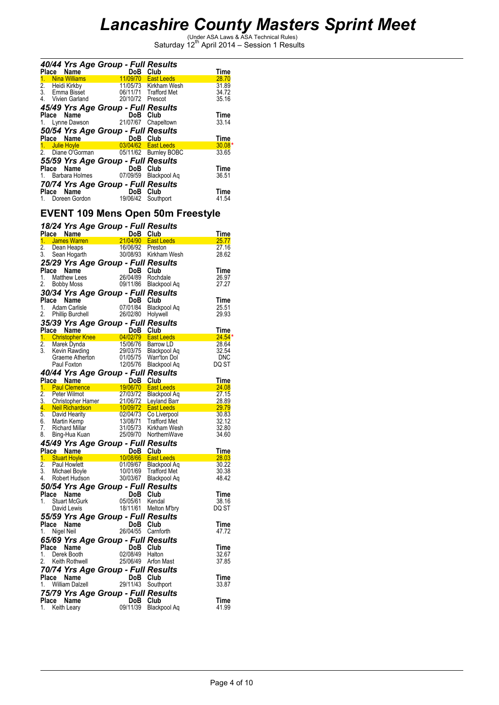|            |                      | 40/44 Yrs Age Group - Full Results      |                       |          |
|------------|----------------------|-----------------------------------------|-----------------------|----------|
| Place Name |                      | DoB Club                                |                       | Time     |
| 1.         | <b>Nina Williams</b> |                                         | 11/09/70   East Leeds | 28.70    |
| 2.         | Heidi Kirkby         |                                         | 11/05/73 Kirkham Wesh | 31.89    |
|            | 3. Emma Bisset       |                                         | 06/11/71 Trafford Met | 34.72    |
|            | 4. Vivien Garland    | 20/10/72 Prescot                        |                       | 35.16    |
|            |                      | 45/49 Yrs Age Group - Full Results      |                       |          |
| Place Name |                      | DoB Club                                |                       | Time     |
|            |                      | 1. Lynne Dawson 21/07/67 Chapeltown     |                       | 33.14    |
|            |                      | 50/54 Yrs Age Group - Full Results      |                       |          |
| Place Name |                      | DoB Club                                |                       | Time     |
|            | 1. Julie Hoyle       | and the 03/04/62 East Leeds             |                       | $30.08*$ |
|            |                      | 2. Diane O'Gorman 05/11/62 Burnley BOBC |                       | 33.65    |
|            |                      | 55/59 Yrs Age Group - Full Results      |                       |          |
| Place Name |                      | DoB Club                                |                       | Time     |
|            |                      | 1. Barbara Holmes 07/09/59              | Blackpool Ag          | 36.51    |
|            |                      | 70/74 Yrs Age Group - Full Results      |                       |          |
| Place      | Name                 | DoB                                     | Club                  | Time     |
|            |                      | 1. Doreen Gordon 19/06/42               | Southport             | 41.54    |

## **EVENT 109 Mens Open 50m Freestyle**

|    |                                                                                                          |                                                |                      | 18/24 Yrs Age Group - Full Results<br>Place Name<br>1. James Warren 21/04/90 East Leeds<br>2. Dean Heaps 16/06/92 Preston<br>3. Sean Hogarth 30/08/93 Kirkham Wesh                                                                                                                  | Time                                                                                                                                                                                                                                           |
|----|----------------------------------------------------------------------------------------------------------|------------------------------------------------|----------------------|-------------------------------------------------------------------------------------------------------------------------------------------------------------------------------------------------------------------------------------------------------------------------------------|------------------------------------------------------------------------------------------------------------------------------------------------------------------------------------------------------------------------------------------------|
|    |                                                                                                          |                                                |                      |                                                                                                                                                                                                                                                                                     | 25.77                                                                                                                                                                                                                                          |
|    |                                                                                                          |                                                |                      |                                                                                                                                                                                                                                                                                     | 27.16                                                                                                                                                                                                                                          |
|    |                                                                                                          |                                                |                      |                                                                                                                                                                                                                                                                                     | 28.62                                                                                                                                                                                                                                          |
|    | 25/29 Yrs Age Group - Full Results                                                                       |                                                |                      |                                                                                                                                                                                                                                                                                     |                                                                                                                                                                                                                                                |
|    |                                                                                                          |                                                |                      |                                                                                                                                                                                                                                                                                     | Time                                                                                                                                                                                                                                           |
|    |                                                                                                          |                                                |                      |                                                                                                                                                                                                                                                                                     | 26.97                                                                                                                                                                                                                                          |
|    |                                                                                                          |                                                |                      |                                                                                                                                                                                                                                                                                     | 27.27                                                                                                                                                                                                                                          |
|    | 30/34 Yrs Age Group - Full Results                                                                       |                                                |                      |                                                                                                                                                                                                                                                                                     |                                                                                                                                                                                                                                                |
|    | Place Name                                                                                               |                                                |                      |                                                                                                                                                                                                                                                                                     | Time                                                                                                                                                                                                                                           |
|    |                                                                                                          |                                                |                      | Blackpool Aq                                                                                                                                                                                                                                                                        | 25.51                                                                                                                                                                                                                                          |
|    | <b>Place Name</b><br>1. Adam Carlisle<br>2. Phillip Burchell<br>2. Phillip Burchell<br>26/02/80 Holywell |                                                |                      |                                                                                                                                                                                                                                                                                     | 29.93                                                                                                                                                                                                                                          |
|    |                                                                                                          |                                                |                      |                                                                                                                                                                                                                                                                                     |                                                                                                                                                                                                                                                |
|    | 35/39 Yrs Age Group - Full Results                                                                       |                                                |                      |                                                                                                                                                                                                                                                                                     | Place Name<br>Place Name<br>1. Christopher Knee 14/02/79 East Leeds<br>2. Marek Dynda 15/06/76 Barrow LD<br>2. Marek Dynda 15/06/76 Barrow LD<br>2. Marek Dynda 15/06/76 Barrow LD<br>2.54<br>3. Kevin Rawding 29/03/75 Blackpool Aq<br>12/05/ |
|    |                                                                                                          |                                                |                      |                                                                                                                                                                                                                                                                                     |                                                                                                                                                                                                                                                |
|    |                                                                                                          |                                                |                      |                                                                                                                                                                                                                                                                                     |                                                                                                                                                                                                                                                |
|    |                                                                                                          |                                                |                      |                                                                                                                                                                                                                                                                                     |                                                                                                                                                                                                                                                |
|    |                                                                                                          |                                                |                      |                                                                                                                                                                                                                                                                                     |                                                                                                                                                                                                                                                |
|    |                                                                                                          |                                                |                      |                                                                                                                                                                                                                                                                                     |                                                                                                                                                                                                                                                |
|    |                                                                                                          |                                                |                      |                                                                                                                                                                                                                                                                                     |                                                                                                                                                                                                                                                |
|    | 40/44 Yrs Age Group - Full Results                                                                       |                                                |                      | <b>Place Name 1996 CIUD</b><br><b>Place Name 1996 CIUD</b><br><b>Place Name 1996 CIUD</b><br><b>Place Name 1996/70 East Leeds</b><br>2. Peter Wilmot<br><b>1. Neil Richardson</b><br><b>1997 2. Explored Barrows 1997 2. Explored Barrows 6. David Hearity<br/> <b>6. David</b></b> | Time                                                                                                                                                                                                                                           |
|    |                                                                                                          |                                                |                      |                                                                                                                                                                                                                                                                                     | 24.08                                                                                                                                                                                                                                          |
|    |                                                                                                          |                                                |                      |                                                                                                                                                                                                                                                                                     | 27.15                                                                                                                                                                                                                                          |
|    |                                                                                                          |                                                |                      |                                                                                                                                                                                                                                                                                     |                                                                                                                                                                                                                                                |
|    |                                                                                                          |                                                |                      |                                                                                                                                                                                                                                                                                     | $\begin{array}{r}27.15 \\ 28.89 \\ \hline\n29.79\n\end{array}$                                                                                                                                                                                 |
|    |                                                                                                          |                                                |                      |                                                                                                                                                                                                                                                                                     | 30.83                                                                                                                                                                                                                                          |
|    |                                                                                                          |                                                |                      |                                                                                                                                                                                                                                                                                     | 32.12                                                                                                                                                                                                                                          |
|    |                                                                                                          |                                                |                      |                                                                                                                                                                                                                                                                                     | 32.80<br>34.60                                                                                                                                                                                                                                 |
|    | 45/49 Yrs Age Group - Full Results                                                                       |                                                |                      |                                                                                                                                                                                                                                                                                     |                                                                                                                                                                                                                                                |
|    | Place Name                                                                                               |                                                |                      | <b>Signal Contract COVE CAUGE 2018</b><br>1008/66 East Leeds<br>01/09/67 Blackpool Aq<br>e 10/01/69 Trafford Met<br>30/03/67 Blackpool Aq                                                                                                                                           | Time                                                                                                                                                                                                                                           |
|    | 1. Stuart Hoyle                                                                                          |                                                |                      |                                                                                                                                                                                                                                                                                     | <u>28.03 magazines and 28.03 magazines and 28.03 magazines and 28.03 magazines and 28.03 magazines and 28.03 mag</u>                                                                                                                           |
| 2. |                                                                                                          |                                                |                      |                                                                                                                                                                                                                                                                                     | 30.22                                                                                                                                                                                                                                          |
| 3. | Paul Howlett<br>Michael Boyle                                                                            |                                                |                      |                                                                                                                                                                                                                                                                                     | 30.38                                                                                                                                                                                                                                          |
|    | 4. Robert Hudson                                                                                         |                                                |                      |                                                                                                                                                                                                                                                                                     | 48.42                                                                                                                                                                                                                                          |
|    | 50/54 Yrs Age Group - Full Results                                                                       |                                                |                      |                                                                                                                                                                                                                                                                                     |                                                                                                                                                                                                                                                |
|    | Place Name                                                                                               | $\overline{D}$<br>05/05/61<br>18/11/61         | DoB Club             |                                                                                                                                                                                                                                                                                     | Time                                                                                                                                                                                                                                           |
| 1. | <b>Stuart McGurk</b>                                                                                     |                                                |                      | Kendal                                                                                                                                                                                                                                                                              | 38.16                                                                                                                                                                                                                                          |
|    | David Lewis                                                                                              |                                                |                      | 18/11/61 Melton M'bry                                                                                                                                                                                                                                                               | DQ ST                                                                                                                                                                                                                                          |
|    | 55/59 Yrs Age Group - Full Results                                                                       |                                                |                      |                                                                                                                                                                                                                                                                                     |                                                                                                                                                                                                                                                |
|    | Place Name                                                                                               |                                                |                      |                                                                                                                                                                                                                                                                                     | Time                                                                                                                                                                                                                                           |
| 1. | Nigel Neil                                                                                               | DoB Club<br>26/04/55 Carnf                     |                      | Carnforth                                                                                                                                                                                                                                                                           | 47.72                                                                                                                                                                                                                                          |
|    |                                                                                                          |                                                |                      |                                                                                                                                                                                                                                                                                     |                                                                                                                                                                                                                                                |
|    | 65/69 Yrs Age Group - Full Results                                                                       |                                                |                      |                                                                                                                                                                                                                                                                                     |                                                                                                                                                                                                                                                |
|    | Place Name                                                                                               |                                                | DoB Club<br>02/08/49 |                                                                                                                                                                                                                                                                                     | Time                                                                                                                                                                                                                                           |
|    | 1. Derek Booth<br>2. Keith Rothwell                                                                      |                                                |                      | Halton<br>25/06/49 Arfon Mast                                                                                                                                                                                                                                                       | 32.67<br>37.85                                                                                                                                                                                                                                 |
|    |                                                                                                          |                                                |                      |                                                                                                                                                                                                                                                                                     |                                                                                                                                                                                                                                                |
|    | 70/74 Yrs Age Group - Full Results                                                                       |                                                |                      |                                                                                                                                                                                                                                                                                     |                                                                                                                                                                                                                                                |
|    | Place Name                                                                                               | $\overline{\text{DoB}}$ Club<br>29/11/43 South |                      |                                                                                                                                                                                                                                                                                     | Time                                                                                                                                                                                                                                           |
|    | 1. William Dalzell                                                                                       |                                                |                      | Southport                                                                                                                                                                                                                                                                           | 33.87                                                                                                                                                                                                                                          |
|    | 75/79 Yrs Age Group - Full Results                                                                       |                                                |                      |                                                                                                                                                                                                                                                                                     |                                                                                                                                                                                                                                                |
|    | Place Name                                                                                               |                                                | DoB                  | Club                                                                                                                                                                                                                                                                                | Time                                                                                                                                                                                                                                           |
| 1. | Keith Leary                                                                                              |                                                | 09/11/39             | Blackpool Aq                                                                                                                                                                                                                                                                        | 41.99                                                                                                                                                                                                                                          |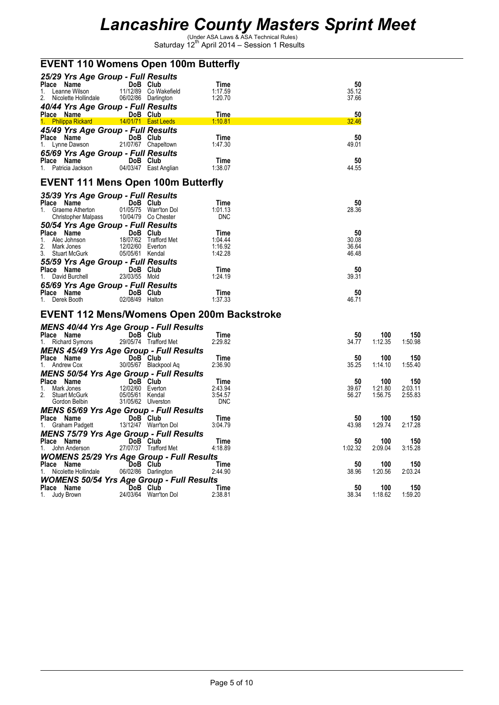| <b>EVENT 110 Womens Open 100m Butterfly</b>                  |                                     |                                                    |                                                   |                |                |                |
|--------------------------------------------------------------|-------------------------------------|----------------------------------------------------|---------------------------------------------------|----------------|----------------|----------------|
| 25/29 Yrs Age Group - Full Results                           |                                     |                                                    |                                                   |                |                |                |
| Place Name<br>1. Leanne Wilson                               | DoB Club                            | 11/12/89 Co Wakefield                              | Time<br>1:17.59                                   | 50<br>35.12    |                |                |
| 2. Nicolette Hollindale                                      |                                     | 06/02/86 Darlington                                | 1:20.70                                           | 37.66          |                |                |
| 40/44 Yrs Age Group - Full Results                           |                                     |                                                    |                                                   |                |                |                |
| Place Name                                                   | DoB Club                            |                                                    | Time                                              | 50             |                |                |
| 1. Philippa Rickard 14/01/71 East Leeds                      |                                     |                                                    | 1:10.81                                           | 32.46          |                |                |
| 45/49 Yrs Age Group - Full Results                           |                                     |                                                    |                                                   |                |                |                |
| Place Name                                                   | DoB Club                            |                                                    | Time                                              | 50             |                |                |
| 1. Lynne Dawson                                              |                                     | 21/07/67 Chapeltown                                | 1:47.30                                           | 49.01          |                |                |
| 65/69 Yrs Age Group - Full Results                           |                                     |                                                    |                                                   | 50             |                |                |
| Place Name<br>1. Patricia Jackson                            | DoB Club                            | 04/03/47 East Anglian                              | Time<br>1:38.07                                   | 44.55          |                |                |
|                                                              |                                     |                                                    |                                                   |                |                |                |
| <b>EVENT 111 Mens Open 100m Butterfly</b>                    |                                     |                                                    |                                                   |                |                |                |
| 35/39 Yrs Age Group - Full Results                           |                                     |                                                    |                                                   |                |                |                |
| Place Name                                                   | DoB Club                            |                                                    | Time                                              | 50             |                |                |
| 1. Graeme Atherton<br>Christopher Malpass                    |                                     | 01/05/75 Warr'ton Dol<br>10/04/79    Co    Chester | 1:01.13<br><b>DNC</b>                             | 28.36          |                |                |
| 50/54 Yrs Age Group - Full Results                           |                                     |                                                    |                                                   |                |                |                |
| Place Name                                                   | DoB Club                            |                                                    | Time                                              | 50             |                |                |
| Alec Johnson<br>1.                                           |                                     | 18/07/62 Trafford Met                              | 1:04:44                                           | 30.08          |                |                |
| 2. Mark Jones<br>3. Stuart McGurk                            | 12/02/60 Everton<br>05/05/61 Kendal |                                                    | 1:16.92<br>1:42.28                                | 36.64<br>46.48 |                |                |
| 55/59 Yrs Age Group - Full Results                           |                                     |                                                    |                                                   |                |                |                |
| Place Name                                                   | DoB Club                            |                                                    | Time                                              | 50             |                |                |
| 1. David Burchell                                            | 23/03/55 Mold                       |                                                    | 1:24.19                                           | 39.31          |                |                |
| 65/69 Yrs Age Group - Full Results                           |                                     |                                                    |                                                   |                |                |                |
| Place Name                                                   | DoB Club                            |                                                    | Time                                              | 50             |                |                |
| 1. Derek Booth                                               | 02/08/49 Halton                     |                                                    | 1:37.33                                           | 46.71          |                |                |
|                                                              |                                     |                                                    | <b>EVENT 112 Mens/Womens Open 200m Backstroke</b> |                |                |                |
| <b>MENS 40/44 Yrs Age Group - Full Results</b>               |                                     |                                                    |                                                   |                |                |                |
| Place Name                                                   | DoB Club                            |                                                    | Time                                              | 50             | 100            | 150            |
| 1. Richard Symons                                            |                                     | 29/05/74 Trafford Met                              | 2:29.82                                           | 34.77          | 1:12.35        | 1:50.98        |
| <b>MENS 45/49 Yrs Age Group - Full Results</b>               |                                     |                                                    |                                                   |                |                |                |
| Place Name<br>$\sim$ 30<br>1. Andrew Cox                     | DoB Club                            | 30/05/67 Blackpool Aq                              | Time<br>2:36.90                                   | 50<br>35.25    | 100<br>1:14.10 | 150<br>1:55.40 |
| <b>MENS 50/54 Yrs Age Group - Full Results</b>               |                                     |                                                    |                                                   |                |                |                |
| Place Name                                                   | DoB Club                            |                                                    | Time                                              | 50             | 100            | 150            |
| Mark Jones<br>1.                                             | 12/02/60 Everton                    |                                                    | 2:43.94                                           | 39.67          | 1:21.80        | 2:03.11        |
| 2. Stuart McGurk                                             | 05/05/61 Kendal                     |                                                    | 3:54.57                                           | 56.27          | 1:56.75        | 2:55.83        |
| Gordon Belbin                                                | 31/05/62 Ulverston                  |                                                    | <b>DNC</b>                                        |                |                |                |
| <b>MENS 65/69 Yrs Age Group - Full Results</b><br>Place Name | DoB Club                            |                                                    | Time                                              | 50             | 100            | 150            |
| 1. Graham Padgett                                            |                                     | 13/12/47 Warr'ton Dol                              | 3:04.79                                           | 43.98          | 1:29.74        | 2:17.28        |
| <b>MENS 75/79 Yrs Age Group - Full Results</b>               |                                     |                                                    |                                                   |                |                |                |
| Place Name                                                   | DoB Club                            |                                                    | Time                                              | 50             | 100            | 150            |
| John Anderson<br>1.                                          |                                     | 27/07/37 Trafford Met                              | 4:18.89                                           | 1:02.32        | 2:09.04        | 3:15.28        |
| <b>WOMENS 25/29 Yrs Age Group - Full Results</b>             |                                     |                                                    |                                                   |                |                |                |
| Place Name<br>1. Nicolette Hollindale                        | DoB Club                            | 06/02/86 Darlington                                | Time<br>2:44.90                                   | 50<br>38.96    | 100<br>1:20.56 | 150<br>2:03.24 |
| <b>WOMENS 50/54 Yrs Age Group - Full Results</b>             |                                     |                                                    |                                                   |                |                |                |
| Place Name                                                   | DoB Club                            |                                                    | Time                                              | 50             | 100            | 150            |
| 1. Judy Brown                                                |                                     | 24/03/64 Warr'ton Dol                              | 2:38.81                                           | 38.34          | 1:18.62        | 1:59.20        |
|                                                              |                                     |                                                    |                                                   |                |                |                |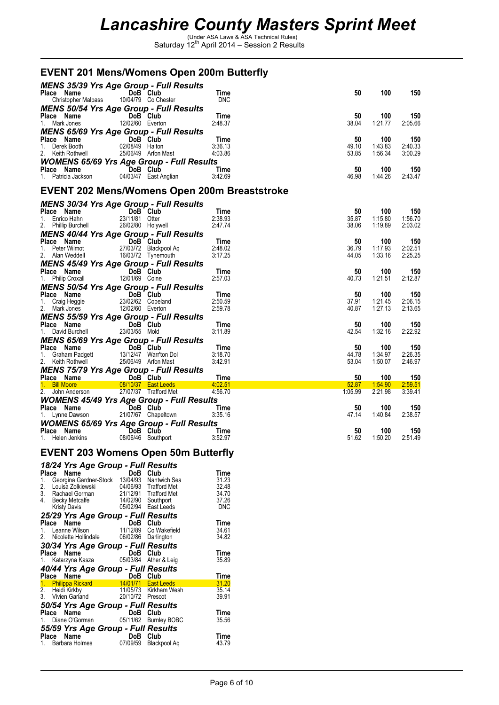| <b>EVENT 201 Mens/Womens Open 200m Butterfly</b>                                                                                                                       |                                                   |                                              |                            |                      |                           |                           |
|------------------------------------------------------------------------------------------------------------------------------------------------------------------------|---------------------------------------------------|----------------------------------------------|----------------------------|----------------------|---------------------------|---------------------------|
| <b>MENS 35/39 Yrs Age Group - Full Results</b><br>Place Name<br>Christopher Malpass                                                                                    | DoB Club                                          | 10/04/79 Co Chester                          | Time<br><b>DNC</b>         | 50                   | 100                       | 150                       |
| <b>MENS 50/54 Yrs Age Group - Full Results</b><br><b>Place Name</b><br>1. Mark Jones<br>12/02/60 Everto<br><b>MENS 65/69 Yrs Age Group - Full Results</b>              | 12/02/60 Everton                                  |                                              | Time<br>2:48.37            | 50<br>38.04          | 100<br>1:21.77            | 150<br>2:05.66            |
| <b>Place Name</b><br>1. Derek Booth<br>2. Keith Rothwell                                                                                                               | DoB Club<br>02/08/49 Halton                       | 25/06/49 Arfon Mast                          | Time<br>3:36.13<br>4:03.86 | 50<br>49.10<br>53.85 | 100<br>1:43.83<br>1:56.34 | 150<br>2:40.33<br>3:00.29 |
| <b>WOMENS 65/69 Yrs Age Group - Full Results</b><br>Place Name<br>1. Patricia Jackson                                                                                  | <b>Example 15 DoB</b> Club                        | 04/03/47 East Anglian                        | Time<br>3:42.69            | 50<br>46.98          | 100<br>1:44.26            | 150<br>2.43.47            |
| <b>EVENT 202 Mens/Womens Open 200m Breaststroke</b>                                                                                                                    |                                                   |                                              |                            |                      |                           |                           |
| <b>MENS 30/34 Yrs Age Group - Full Results</b><br>Place Name<br>1. Enrico Hahn 23/11/81 Otter<br>2. Phillip Burchell 26/02/80 Holywell<br><b>MENS 40/44 V - A -- C</b> | DoB Club                                          |                                              | Time<br>2:38.93<br>2:47.74 | 50<br>35.87<br>38.06 | 100<br>1:15.80<br>1:19.89 | 150<br>1:56.70<br>2:03.02 |
| <b>MENS 40/44 Yrs Age Group - Full Results</b><br>Place Name<br>1. Peter Wilmot 27/03/72 Blackp<br>2. Peter will be to the control of the Bilack Pool Ay               |                                                   | 27/03/72 Blackpool Aq                        | Time<br>2:48.02<br>3:17.25 | 50<br>36.79<br>44.05 | 100<br>1:17.93<br>1:33.16 | 150<br>2:02.51<br>2:25.25 |
| <b>MENS 45/49 Yrs Age Group - Full Results</b><br>Place Name<br>1. Philip Croxall 12/01/69 Colne                                                                       |                                                   |                                              | Time<br>2:57.03            | 50<br>40.73          | 100<br>1:21.51            | 150<br>2:12.87            |
| <b>MENS 50/54 Yrs Age Group - Full Results</b><br>Place Name<br>1. Craig Heggie<br>2. Mark Jones                                                                       | DoB Club<br>23/02/62 Copeland<br>12/02/60 Everton |                                              | Time<br>2:50.59<br>2:59.78 | 50<br>37.91<br>40.87 | 100<br>1:21.45<br>1:27.13 | 150<br>2:06.15<br>2:13.65 |
| <b>MENS 55/59 Yrs Age Group - Full Results</b><br><b>Place Name</b><br>1. David Burchell 23/                                                                           | DoB Club<br>23/03/55 Mold                         |                                              | Time<br>3:11.89            | 50<br>42.54          | 100<br>1:32.16            | 150<br>2:22.92            |
| <b>MENS 65/69 Yrs Age Group - Full Results</b><br>Place Name<br>1. Graham Padgett<br>2. Keith Rothwell                                                                 | DoB Club                                          | 13/12/47 Warr'ton Dol<br>25/06/49 Arfon Mast | Time<br>3:18.70<br>3:42.91 | 50<br>44.78<br>53.04 | 100<br>1:34.97<br>1:50.07 | 150<br>2:26.35<br>2:46.97 |
| <b>MENS 75/79 Yrs Age Group - Full Results</b>                                                                                                                         |                                                   |                                              | Time                       | 50                   | 100                       | 150                       |
| Place Name<br>1. Bill Moore 1. 08/10/37 East L<br>2. John Anderson                                                                                                     |                                                   | 08/10/37 East Leeds<br>27/07/37 Trafford Met | 4:02.51<br>4:56.70         | 52.87<br>1:05.99     | 1:54.90<br>2:21.98        | 2:59.51<br>3:39.41        |
| <b>WOMENS 45/49 Yrs Age Group - Full Results</b><br>Place Name <b>DoB</b> Club<br>1. Lynne Dawson                                                                      |                                                   | 21/07/67 Chapeltown                          | Time<br>3:35.16            | 50<br>47.14          | 100<br>1:40.84            | 150<br>2:38.57            |
| <b>WOMENS 65/69 Yrs Age Group - Full Results</b><br>Place Name DoB Club<br>1. Helen Jenkins                                                                            |                                                   | 08/06/46 Southport                           | Time<br>3:52.97            | 50<br>51.62          | 100<br>1:50.20            | 150<br>2:51.49            |
| <b>EVENT 203 Womens Open 50m Butterfly</b>                                                                                                                             |                                                   |                                              |                            |                      |                           |                           |

### *18/24 Yrs Age Group - Full Results*

| $10.27$ $110$ $1.90$ $0.04p$                                                                                                    |          |                       |             |
|---------------------------------------------------------------------------------------------------------------------------------|----------|-----------------------|-------------|
| Name<br>Place                                                                                                                   | DoB Club |                       | Time        |
| 1. Georgina Gardner-Stock 13/04/93 Nantwich Sea                                                                                 |          |                       | 31.23       |
| 2. Louisa Zolkiewski                                                                                                            |          | 04/06/93 Trafford Met | 32.48       |
| 3. Rachael Gorman 21/12/91 Trafford Met                                                                                         |          |                       | 34.70       |
| 4. Becky Metcalfe 14/02/90 Southport                                                                                            |          |                       | 37.26       |
| Kristy Davis                                                                                                                    |          | 05/02/94 East Leeds   | DNC         |
| 25/29 Yrs Age Group - Full Results                                                                                              |          |                       |             |
| Name                                                                                                                            | DoB Club |                       | Time        |
| <b>Place Name</b><br>1. Leanne Wilson 11/12/89 Co Wakefield                                                                     |          |                       | 34.61       |
| 2. Nicolette Hollindale 06/02/86 Darlington                                                                                     |          |                       | 34.82       |
| 30/34 Yrs Age Group - Full Results                                                                                              |          |                       |             |
| Place Name                                                                                                                      | DoB Club |                       | Time        |
|                                                                                                                                 |          |                       | 35.89       |
| 40/44 Yrs Age Group - Full Results                                                                                              |          |                       |             |
|                                                                                                                                 |          |                       | <b>Time</b> |
| <b>Place Name 18 DoB Club</b><br><b>1. Philippa Rickard 14/01/71 East Leeds</b><br><b>2. Heidi Kirkby 11/05/73 Kirkham Wesh</b> |          |                       | 31.20       |
|                                                                                                                                 |          |                       | 35.14       |
| 3. Vivien Garland 20/10/72 Prescot                                                                                              |          |                       | 39.91       |
|                                                                                                                                 |          |                       |             |
| <b>50/54 Yrs Age Group - Full Results<br/>Place Name DoB Club<br/>1. Diane O'Gorman 05/11/62 Burnley BOBC</b>                   |          |                       | Time        |
|                                                                                                                                 |          |                       | 35.56       |
| 55/59 Yrs Age Group - Full Results                                                                                              |          |                       |             |
| Name<br>Place                                                                                                                   | DoB      | Club                  | Time        |
| Barbara Holmes<br>1.                                                                                                            |          | 07/09/59 Blackpool Aq | 43.79       |
|                                                                                                                                 |          |                       |             |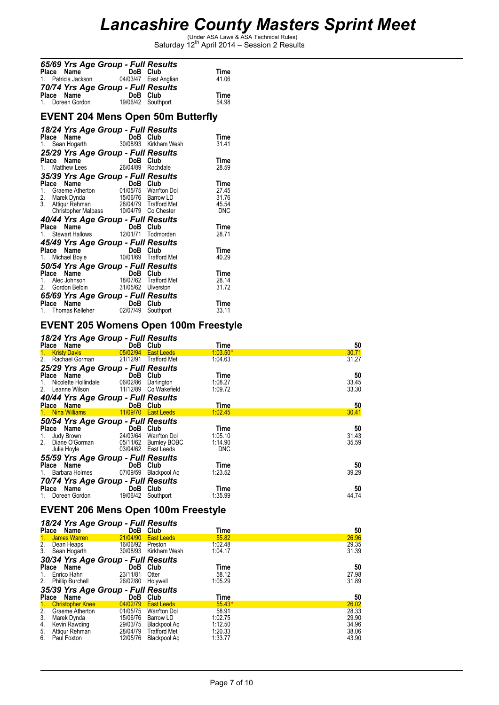## *Lancashire County Masters Sprint Meet*

(Under ASA Laws & ASA Technical Rules) Saturday 12th April 2014 – Session 2 Results

| 65/69 Yrs Age Group - Full Results       |                       |               |
|------------------------------------------|-----------------------|---------------|
| Place Name                               | DoB Club              | Time          |
| 1. Patricia Jackson                      | 04/03/47 East Anglian | 41.06         |
| 70/74 Yrs Age Group - Full Results       | DoB Club              |               |
| Place Name<br>1. Doreen Gordon           | 19/06/42 Southport    | Time<br>54.98 |
| <b>EVENT 204 Mens Open 50m Butterfly</b> |                       |               |

### *18/24 Yrs Age Group - Full Results* **Place Name 18 CDoB Club 18 Time**<br>1. Sean Hogarth 1970/08/93 Kirkham Wesh 31.41 *25/29 Yrs Age Group - Full Results* **Place Name 18 CDoB Club 1. Time**<br>1. Matthew Lees 26/04/89 Rochdale 28.59 *35/39 Yrs Age Group - Full Results* **Place Name 19 CDOB Club 11. Time**<br>1. Graeme Atherton 101/05/75 Warr'ton Dol 27.45 2. Marek Dynda 15/06/76 Barrow LD 31.76 3. Attiqur Rehman 28/04/79 Trafford Met 45.54 Christopher Malpass 10/04/79 Co Chester DNC *40/44 Yrs Age Group - Full Results* **Place Name 18 Club Club Time**<br>1. Stewart Hallows 12/01/71 Todmorden 28.71 *45/49 Yrs Age Group - Full Results* **Place Name 10 DoB Club 10**<br>1. Michael Boyle 10/01/69 Trafford Met 40.29

| 50/54 Yrs Age Group - Full Results |                    |                       |       |
|------------------------------------|--------------------|-----------------------|-------|
| Place Name                         | DoB Club           |                       | Time  |
| 1. Alec Johnson                    |                    | 18/07/62 Trafford Met | 28.14 |
| 2. Gordon Belbin                   | 31/05/62 Ulverston |                       | 31.72 |
| 65/69 Yrs Age Group - Full Results |                    |                       |       |
| Place Name                         |                    | DoB Club              | Time  |
| 1. Thomas Kelleher                 |                    | 02/07/49 Southport    | 33.11 |
|                                    |                    |                       |       |

### **EVENT 205 Womens Open 100m Freestyle**

| 18/24 Yrs Age Group - Full Results     |                       |                       |            |       |
|----------------------------------------|-----------------------|-----------------------|------------|-------|
| Place Name                             | DoB Club              |                       | Time       | 50    |
| 1 <sub>1</sub><br><b>Kristy Davis</b>  | 05/02/94              | <b>East Leeds</b>     | $1:03.50*$ | 30.71 |
| 2.<br>Rachael Gorman                   |                       | 21/12/91 Trafford Met | 1:04.63    | 31.27 |
| 25/29 Yrs Age Group - Full Results     |                       |                       |            |       |
| Place Name                             | DoB Club              |                       | Time       | 50    |
| Nicolette Hollindale<br>1.             | 06/02/86              | Darlington            | 1:08.27    | 33.45 |
| 2.<br>Leanne Wilson                    | 11/12/89              | Co Wakefield          | 1:09.72    | 33.30 |
| 40/44 Yrs Age Group - Full Results     |                       |                       |            |       |
| Place Name                             | DoB Club              |                       | Time       | 50    |
| <b>Nina Williams</b><br>1 <sup>1</sup> | 11/09/70              | <b>East Leeds</b>     | 1:02.45    | 30.41 |
| 50/54 Yrs Age Group - Full Results     |                       |                       |            |       |
| Place Name                             | DoB Club              |                       | Time       | 50    |
| Judy Brown<br>1.                       | 24/03/64 Warr'ton Dol |                       | 1:05.10    | 31.43 |
| 2.<br>Diane O'Gorman                   |                       | 05/11/62 Burnley BOBC | 1:14.90    | 35.59 |
| Julie Hoyle                            |                       | 03/04/62 East Leeds   | <b>DNC</b> |       |
| 55/59 Yrs Age Group - Full Results     |                       |                       |            |       |
| Place Name                             | DoB                   | Club                  | Time       | 50    |
| 1. Barbara Holmes                      | 07/09/59              | Blackpool Ag          | 1:23.52    | 39.29 |
| 70/74 Yrs Age Group - Full Results     |                       |                       |            |       |
| Place Name                             | DoB Club              |                       | Time       | 50    |
| Doreen Gordon                          | 19/06/42              | Southport             | 1:35.99    | 44.74 |

## **EVENT 206 Mens Open 100m Freestyle**

### *18/24 Yrs Age Group - Full Results*

|    | .<br>Place Name                    |          | DoB Club              | Time     | 50    |  |  |  |  |
|----|------------------------------------|----------|-----------------------|----------|-------|--|--|--|--|
|    | 1 James Warren                     | 21/04/90 | <b>East Leeds</b>     | 55.82    | 26.96 |  |  |  |  |
|    | 2. Dean Heaps                      | 16/06/92 | Preston               | 1:02.48  | 29.35 |  |  |  |  |
| 3. | Sean Hogarth                       |          | 30/08/93 Kirkham Wesh | 1:04.17  | 31.39 |  |  |  |  |
|    | 30/34 Yrs Age Group - Full Results |          |                       |          |       |  |  |  |  |
|    | Place Name                         |          | DoB Club              | Time     | 50    |  |  |  |  |
| 1. | Enrico Hahn                        | 23/11/81 | Otter                 | 58.12    | 27.98 |  |  |  |  |
|    | 2. Phillip Burchell                | 26/02/80 | Holywell              | 1:05.29  | 31.89 |  |  |  |  |
|    | 35/39 Yrs Age Group - Full Results |          |                       |          |       |  |  |  |  |
|    | Place Name                         |          | DoB Club              | Time     | 50    |  |  |  |  |
| 1. | <b>Christopher Knee</b>            | 04/02/79 | <b>East Leeds</b>     | $55.43*$ | 26.02 |  |  |  |  |
| 2. | Graeme Atherton                    | 01/05/75 | Warr'ton Dol          | 58.91    | 28.33 |  |  |  |  |
| 3. | Marek Dynda                        | 15/06/76 | Barrow LD             | 1:02.75  | 29.90 |  |  |  |  |
| 4. | Kevin Rawding                      | 29/03/75 | Blackpool Ag          | 1:12.50  | 34.96 |  |  |  |  |
|    | 5. Attiqur Rehman                  | 28/04/79 | <b>Trafford Met</b>   | 1:20.33  | 38.06 |  |  |  |  |
| 6. | Paul Foxton                        | 12/05/76 | Blackpool Ag          | 1:33.77  | 43.90 |  |  |  |  |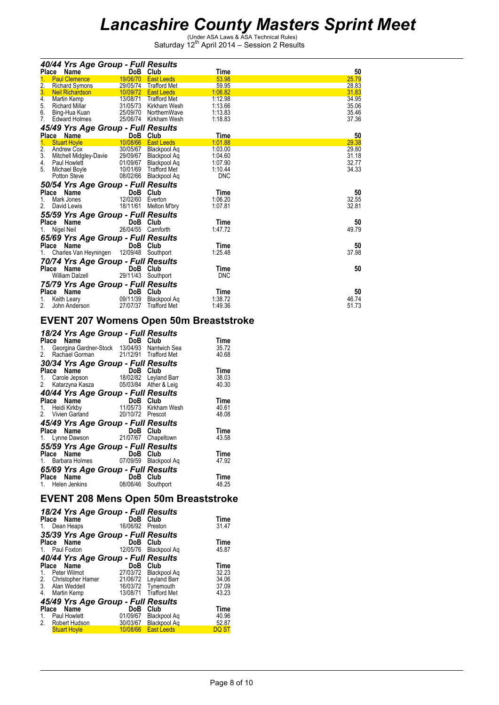| DoB Club<br>Time<br>Place<br>Name<br>53.98<br><b>Paul Clemence</b><br>19/06/70<br><b>East Leeds</b><br>2.<br>59.95<br>29/05/74<br><b>Richard Symons</b><br>Trafford Met | 50<br>25.79<br>28.83<br>31.83<br>34.95<br>35.06<br>35.46<br>37.36 |
|-------------------------------------------------------------------------------------------------------------------------------------------------------------------------|-------------------------------------------------------------------|
|                                                                                                                                                                         |                                                                   |
|                                                                                                                                                                         |                                                                   |
|                                                                                                                                                                         |                                                                   |
| 3.<br>1:06.82<br>10/09/72<br><b>Neil Richardson</b><br><b>East Leeds</b>                                                                                                |                                                                   |
| 4.<br>13/08/71<br>1:12.98<br>Trafford Met<br>Martin Kemp                                                                                                                |                                                                   |
| 5.<br>31/05/73<br>Kirkham Wesh<br>1:13.66<br><b>Richard Millar</b>                                                                                                      |                                                                   |
| 6.<br>25/09/70<br>1:13.83<br>Bing-Hua Kuan<br>NorthernWave                                                                                                              |                                                                   |
| 25/06/74<br>7.<br><b>Edward Holmes</b><br>Kirkham Wesh<br>1:18.83                                                                                                       |                                                                   |
| 45/49 Yrs Age Group - Full Results                                                                                                                                      |                                                                   |
| DoB Club<br>Place Name<br>Time                                                                                                                                          | 50                                                                |
| 10/08/66<br><b>Stuart Hoyle</b><br>1:01.88<br><b>East Leeds</b>                                                                                                         | 29.38                                                             |
| 2.<br>30/05/67<br>1:03.00<br>Andrew Cox<br>Blackpool Ag                                                                                                                 | 29.80                                                             |
| 3.<br>29/09/67<br>Mitchell Midgley-Davie<br>1:04.60<br>Blackpool Aq                                                                                                     | 31.18                                                             |
| 4.<br>01/09/67<br>1:07.90<br>Paul Howlett<br>Blackpool Aq                                                                                                               | 32.77                                                             |
| 5.<br>10/01/69<br>1:10.44<br>Michael Boyle<br>Trafford Met                                                                                                              | 34.33                                                             |
| 08/02/66<br><b>DNC</b><br><b>Potton Steve</b><br>Blackpool Aq                                                                                                           |                                                                   |
| 50/54 Yrs Age Group - Full Results                                                                                                                                      |                                                                   |
| DoB Club<br>Place Name<br>Time                                                                                                                                          | 50                                                                |
| 12/02/60<br>1:06.20<br>Mark Jones<br>Everton<br>1.                                                                                                                      | 32.55                                                             |
| 2.<br>1:07.81<br>18/11/61<br>David Lewis<br>Melton M'bry                                                                                                                | 32.81                                                             |
| 55/59 Yrs Age Group - Full Results                                                                                                                                      |                                                                   |
| Place Name<br>DoB Club<br>Time                                                                                                                                          | 50                                                                |
| 26/04/55 Carnforth<br>1:47.72<br>Nigel Neil<br>1.                                                                                                                       | 49.79                                                             |
|                                                                                                                                                                         |                                                                   |
| 65/69 Yrs Age Group - Full Results                                                                                                                                      |                                                                   |
| DoB Club<br>Place Name<br>Time                                                                                                                                          | 50                                                                |
| 1:25.48<br>12/09/48<br>Charles Van Heyningen<br>Southport<br>1.                                                                                                         | 37.98                                                             |
| 70/74 Yrs Age Group - Full Results                                                                                                                                      |                                                                   |
| DoB Club<br>Place Name<br>Time                                                                                                                                          | 50                                                                |
| 29/11/43<br><b>DNC</b><br><b>William Dalzell</b><br>Southport                                                                                                           |                                                                   |
| 75/79 Yrs Age Group - Full Results                                                                                                                                      |                                                                   |
| Club<br>Time<br>Place Name<br>DoB.                                                                                                                                      | 50                                                                |
| 09/11/39<br>Blackpool Aq<br>1:38.72<br>Keith Leary                                                                                                                      | 46.74                                                             |
| 2.<br>27/07/37<br><b>Trafford Met</b><br>1:49.36<br>John Anderson                                                                                                       | 51.73                                                             |

### **EVENT 207 Womens Open 50m Breaststroke**

| 18/24 Yrs Age Group - Full Results                                                         |          |           |               |
|--------------------------------------------------------------------------------------------|----------|-----------|---------------|
| Place Name                                                                                 | DoB Club |           | Time          |
| 1. Georgina Gardner-Stock 13/04/93 Nantwich Sea<br>2. Rachael Gorman 21/12/91 Trafford Met |          |           | 35.72         |
|                                                                                            |          |           | 40.68         |
| 30/34 Yrs Age Group - Full Results                                                         |          |           |               |
| Place Name                                                                                 | DoB Club |           | Time          |
| <b>Place Name</b><br>1. Carole Jepson 18/02/82 Leyland Barr                                |          |           | 38.03         |
| 2. Katarzyna Kasza 05/03/84 Ather & Leig                                                   |          |           | 40.30         |
| 40/44 Yrs Age Group - Full Results                                                         |          |           |               |
|                                                                                            |          |           | Time          |
|                                                                                            |          |           | 40.61         |
| 2. Vivien Garland 20/10/72 Prescot                                                         |          |           | 48.08         |
| 45/49 Yrs Age Group - Full Results                                                         |          |           |               |
| Place Name                                                                                 | DoB Club |           | Time          |
| 1. Lynne Dawson 21/07/67 Chapeltown                                                        |          |           | 43.58         |
|                                                                                            |          |           |               |
| 55/59 Yrs Age Group - Full Results                                                         |          |           |               |
| Place Name <b>Name</b>                                                                     | DoB      | Club      | Time<br>47.92 |
| 1. Barbara Holmes 07/09/59 Blackpool Aq                                                    |          |           |               |
| 65/69 Yrs Age Group - Full Results                                                         |          |           |               |
| and the first<br>Place Name                                                                | DoB      | Club      | Time          |
| 1. Helen Jenkins                                                                           | 08/06/46 | Southport | 48.25         |
|                                                                                            |          |           |               |

### **EVENT 208 Mens Open 50m Breaststroke**

|                      | 18/24 Yrs Age Group - Full Results<br>Place Name<br>1. Dean Heaps                                                                             | DoB Club<br>16/06/92      | Preston                                                              | Time<br>31.47                            |
|----------------------|-----------------------------------------------------------------------------------------------------------------------------------------------|---------------------------|----------------------------------------------------------------------|------------------------------------------|
|                      | 35/39 Yrs Age Group - Full Results<br>Place Name<br>1. Paul Foxton                                                                            | DoB                       | Club<br>12/05/76 Blackpool Aq                                        | Time<br>45.87                            |
| $1_{-}$<br>3.<br>4.  | 40/44 Yrs Age Group - Full Results<br>Place Name<br>Peter Wilmot<br>2. Christopher Hamer 21/06/72 Leyland Barr<br>Alan Weddell<br>Martin Kemp | DoB<br>16/03/72 Tynemouth | Club<br>27/03/72 Blackpool Aq<br>13/08/71 Trafford Met               | Time<br>32.23<br>34.06<br>37.09<br>43.23 |
| 1.<br>2 <sup>1</sup> | 45/49 Yrs Age Group - Full Results<br>Place Name<br>Paul Howlett<br>Robert Hudson<br><b>Stuart Hoyle</b>                                      | DoB<br>01/09/67           | Club<br>Blackpool Ag<br>30/03/67 Blackpool Aq<br>10/08/66 East Leeds | Time<br>40.96<br>52.87<br><b>DQ ST</b>   |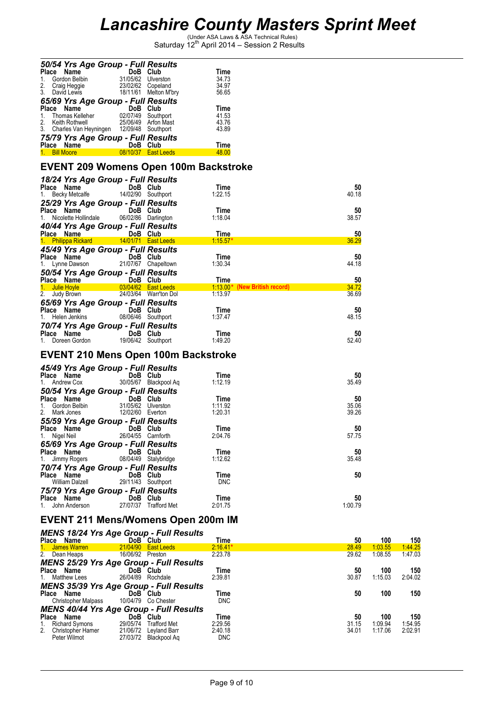| 50/54 Yrs Age Group - Full Results                                      |                                                      |                       |                                              |                |
|-------------------------------------------------------------------------|------------------------------------------------------|-----------------------|----------------------------------------------|----------------|
| Place Name                                                              | DoB Club<br>$\overline{\mathbf{34}}$                 |                       | Time                                         |                |
| 1. Gordon Belbin<br>2.<br>Craig Heggie                                  | 31/05/62 Ulverston<br>23/02/62 Copeland              |                       | 34.73<br>34.97                               |                |
| 3. David Lewis                                                          |                                                      | 18/11/61 Melton M'bry | 56.65                                        |                |
| 65/69 Yrs Age Group - Full Results                                      |                                                      |                       |                                              |                |
| Place Name                                                              | DoB Club                                             |                       | Time                                         |                |
| 1.<br>Thomas Kelleher                                                   | 02/07/49 Southport                                   |                       | 41.53                                        |                |
| 2.<br>Keith Rothwell                                                    |                                                      | 25/06/49 Arfon Mast   | 43.76                                        |                |
| 3. Charles Van Heyningen 12/09/48 Southport                             |                                                      |                       | 43.89                                        |                |
| 75/79 Yrs Age Group - Full Results                                      |                                                      |                       |                                              |                |
| Place Name 7                                                            | DoB Club                                             |                       | Time                                         |                |
| 1. Bill Moore                                                           |                                                      | 08/10/37 East Leeds   | 48.00                                        |                |
|                                                                         |                                                      |                       | <b>EVENT 209 Womens Open 100m Backstroke</b> |                |
|                                                                         |                                                      |                       |                                              |                |
| 18/24 Yrs Age Group - Full Results                                      |                                                      |                       |                                              |                |
| Place Name                                                              | DoB Club                                             |                       | Time                                         | 50             |
| 1. Becky Metcalfe                                                       | 14/02/90 Southport                                   |                       | 1:22.15                                      | 40.18          |
| 25/29 Yrs Age Group - Full Results                                      |                                                      |                       |                                              |                |
| Place Name<br>1.                                                        | DoB Club<br>Nicolette Hollindale 06/02/86 Darlington |                       | Time<br>1:18.04                              | 50<br>38.57    |
|                                                                         |                                                      |                       |                                              |                |
| 40/44 Yrs Age Group - Full Results<br>Place Name                        | <b>Example 19 DoB</b> Club                           |                       | Time                                         | 50             |
| 1. Philippa Rickard 14/01/71 East Leeds                                 |                                                      |                       | $1:15.57*$                                   | 36.29          |
| 45/49 Yrs Age Group - Full Results                                      |                                                      |                       |                                              |                |
| Place Name                                                              | <b>Example 19 DoB</b> Club                           |                       | Time                                         | 50             |
| 1. Lynne Dawson                                                         |                                                      | 21/07/67 Chapeltown   | 1:30.34                                      | 44.18          |
| 50/54 Yrs Age Group - Full Results                                      |                                                      |                       |                                              |                |
| Place Name DoB Club                                                     |                                                      |                       | Time                                         | 50             |
| 1. Julie Hoyle                                                          |                                                      | 03/04/62 East Leeds   | 1:13.00* (New British record)                | 34.72          |
| 2. Judy Brown                                                           |                                                      | 24/03/64 Warr'ton Dol | 1:13.97                                      | 36.69          |
| 65/69 Yrs Age Group - Full Results                                      |                                                      |                       |                                              |                |
| Place Name                                                              | DoB Club                                             |                       | Time                                         | 50             |
| 1. Helen Jenkins 08/06/46 Southport                                     |                                                      |                       | 1:37.47                                      | 48.15          |
| 70/74 Yrs Age Group - Full Results                                      |                                                      |                       |                                              |                |
| Place Name<br>1. Doreen Gordon 19/06/42 Southport                       |                                                      |                       | Time                                         | 50             |
|                                                                         |                                                      |                       | 1:49.20                                      | 52.40          |
| <b>EVENT 210 Mens Open 100m Backstroke</b>                              |                                                      |                       |                                              |                |
|                                                                         |                                                      |                       |                                              |                |
| 45/49 Yrs Age Group - Full Results                                      |                                                      |                       |                                              |                |
| Place Name                                                              | DoB Club                                             |                       | Time                                         | 50             |
| 1. Andrew Cox                                                           |                                                      | 30/05/67 Blackpool Aq | 1:12.19                                      | 35.49          |
| 50/54 Yrs Age Group - Full Results                                      |                                                      |                       |                                              |                |
| Place Name                                                              | DoB Club                                             |                       | Time                                         | 50             |
| <b>Flace Name</b><br>1. Gordon Belbin<br>2. Mark Jones<br>2. Mark Jones | 31/05/62 Ulverston<br>12/02/60 Everton               |                       | 1:11.92<br>1:20.31                           | 35.06<br>39.26 |
| 55/59 Yrs Age Group - Full Results                                      |                                                      |                       |                                              |                |
| Place Name                                                              | DoB Club                                             |                       | Time                                         | 50             |
| 1. Nigel Neil                                                           | 26/04/55 Carnforth                                   |                       | 2:04.76                                      | 57.75          |
| 65/69 Yrs Age Group - Full Results                                      |                                                      |                       |                                              |                |
| Place Name                                                              | DoB Club                                             |                       | Time                                         | 50             |
| 1.<br>Jimmy Rogers                                                      |                                                      | 08/04/49 Stalybridge  | 1:12.62                                      | 35.48          |
| 70/74 Yrs Age Group - Full Results                                      |                                                      |                       |                                              |                |
| Place Name                                                              | DoB Club                                             |                       | Time                                         | 50             |
| William Dalzell                                                         | 29/11/43 Southport                                   |                       | <b>DNC</b>                                   |                |
| 75/79 Yrs Age Group - Full Results                                      |                                                      |                       |                                              |                |
| Place Name                                                              | DoB Club                                             |                       | Time                                         | 50             |
| 1. John Anderson                                                        |                                                      | 27/07/37 Trafford Met | 2:01.75                                      | 1:00.79        |
|                                                                         |                                                      |                       | <b>OOO IRE</b>                               |                |

#### **EVENT 211 Mens/Womens Open 200m IM** *MENS 18/24 Yrs Age Group - Full Results*

|              |                            | <b>MENS 18/24 Yrs Age Group - Full Results</b> |                     |            |       |         |         |
|--------------|----------------------------|------------------------------------------------|---------------------|------------|-------|---------|---------|
| Place        | Name                       |                                                | DoB Club            | Time       | 50    | 100     | 150     |
|              | James Warren               | 21/04/90                                       | <b>East Leeds</b>   | $2:16.41*$ | 28.49 | 1:03.55 | 1:44.25 |
| 2.           | Dean Heaps                 | 16/06/92                                       | Preston             | 2:23.78    | 29.62 | 1:08.55 | 1:47.03 |
|              |                            | <b>MENS 25/29 Yrs Age Group - Full Results</b> |                     |            |       |         |         |
| <b>Place</b> | Name                       |                                                | DoB Club            | Time       | 50    | 100     | 150     |
|              | <b>Matthew Lees</b>        | 26/04/89                                       | Rochdale            | 2:39.81    | 30.87 | 1:15.03 | 2:04.02 |
|              |                            | <b>MENS 35/39 Yrs Age Group - Full Results</b> |                     |            |       |         |         |
| <b>Place</b> | Name                       |                                                | DoB Club            | Time       | 50    | 100     | 150     |
|              | <b>Christopher Malpass</b> | 10/04/79                                       | Co Chester          | <b>DNC</b> |       |         |         |
|              |                            | <b>MENS 40/44 Yrs Age Group - Full Results</b> |                     |            |       |         |         |
| Place        | Name                       | DoB                                            | <b>Club</b>         | Time       | 50    | 100     | 150     |
|              | <b>Richard Symons</b>      | 29/05/74                                       | <b>Trafford Met</b> | 2:29.56    | 31.15 | 1:09.94 | 1:54.95 |
| 2.           | Christopher Hamer          | 21/06/72                                       | Leyland Barr        | 2:40.18    | 34.01 | 1:17.06 | 2:02.91 |
|              | Peter Wilmot               | 27/03/72                                       | Blackpool Aq        | <b>DNC</b> |       |         |         |